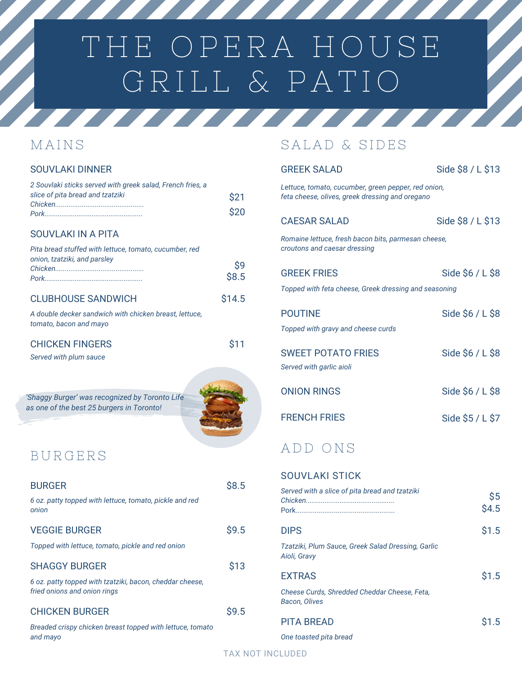# THE OPERA HOUSE GRILL & PATIO

### **MAINS**

#### SOUVLAKI DINNER

| 2 Souvlaki sticks served with greek salad, French fries, a<br>slice of pita bread and tzatziki | \$21<br>\$20 |
|------------------------------------------------------------------------------------------------|--------------|
| <b>SOUVLAKI IN A PITA</b>                                                                      |              |
| Pita bread stuffed with lettuce, tomato, cucumber, red<br>onion, tzatziki, and parsley         | \$9<br>\$8.5 |
| <b>CLUBHOUSE SANDWICH</b>                                                                      | \$14.5       |
| A double decker sandwich with chicken breast, lettuce,<br>tomato, bacon and mayo               |              |
| <b>CHICKEN FINGERS</b><br>Served with plum sauce                                               | \$11         |
| 'Shaggy Burger' was recognized by Toronto Life<br>as one of the best 25 burgers in Toronto!    |              |
| BURGERS                                                                                        |              |
| <b>BURGER</b><br>6 oz. patty topped with lettuce, tomato, pickle and red<br>onion              | \$8.5        |
| <b>VEGGIE BURGER</b>                                                                           | \$9.5        |
| Topped with lettuce, tomato, pickle and red onion                                              |              |
| <b>SHAGGY BURGER</b>                                                                           | \$13         |

TATIFIA TITULI

*6 oz. patty topped with tzatziki, bacon, cheddar cheese, fried onions and onion rings*

#### CHICKEN BURGER

*Breaded crispy chicken breast topped with lettuce, tomato and mayo*

## SALAD & SIDES

| <b>GREEK SALAD</b>                                                                                     | Side \$8 / L \$13 |
|--------------------------------------------------------------------------------------------------------|-------------------|
| Lettuce, tomato, cucumber, green pepper, red onion,<br>feta cheese, olives, greek dressing and oregano |                   |
| <b>CAESAR SALAD</b>                                                                                    | Side \$8 / L \$13 |
| Romaine lettuce, fresh bacon bits, parmesan cheese,<br>croutons and caesar dressing                    |                   |
| <b>GREEK FRIES</b>                                                                                     | Side $$6 / L $8$  |
| Topped with feta cheese, Greek dressing and seasoning                                                  |                   |
| <b>POUTINE</b>                                                                                         | Side $$6 / L $8$  |
| Topped with gravy and cheese curds                                                                     |                   |
| <b>SWEET POTATO FRIES</b><br>Served with garlic aioli                                                  | Side \$6 / L \$8  |
| <b>ONION RINGS</b>                                                                                     | Side \$6 / L \$8  |
| <b>FRENCH FRIES</b>                                                                                    | Side \$5 / L \$7  |
| ADD ONS                                                                                                |                   |
| <b>SOUVLAKI STICK</b>                                                                                  |                   |
| Served with a slice of pita bread and tzatziki                                                         | \$5<br>\$4.5      |
| <b>DIPS</b>                                                                                            | \$1.5             |
| Tzatziki, Plum Sauce, Greek Salad Dressing, Garlic<br>Aioli, Gravy                                     |                   |

<u>a shekara ta 1999 da kasar Ingila a shekara ta 1999 da kasar Ingila a shekara ta 1999 da kasar Ingila a shekara ta 1999 da kasar Ingila a shekara ta 1999 da kasar Ingila a shekara ta 1999 da kasar Ingila a shekara ta 1999</u>

| <b>EXTRAS</b>                                | \$1.5 |
|----------------------------------------------|-------|
| Cheese Curds. Shredded Cheddar Cheese. Feta. |       |
| Bacon. Olives                                |       |

PITA BREAD \$1.5 *One toasted pita bread*

\$9.5